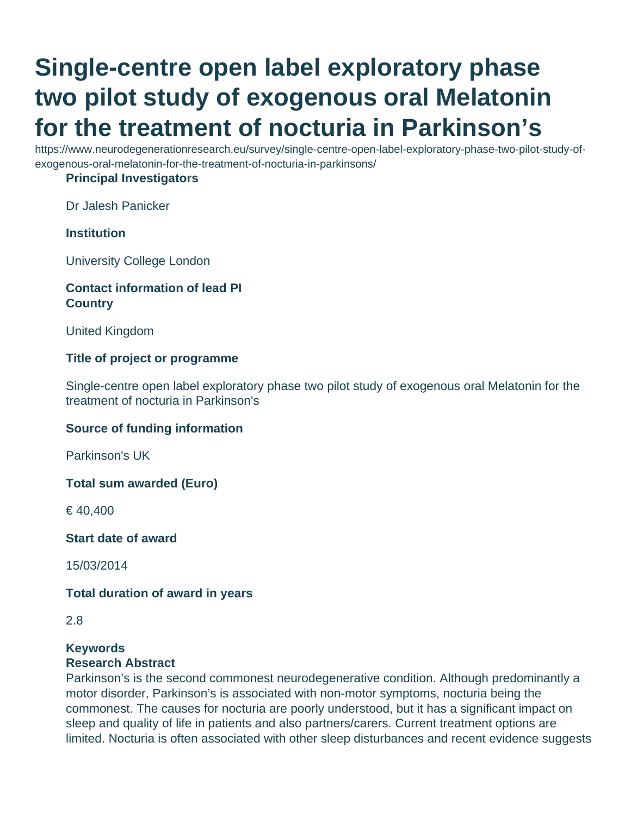# **Single-centre open label exploratory phase two pilot study of exogenous oral Melatonin for the treatment of nocturia in Parkinson's**

https://www.neurodegenerationresearch.eu/survey/single-centre-open-label-exploratory-phase-two-pilot-study-ofexogenous-oral-melatonin-for-the-treatment-of-nocturia-in-parkinsons/

#### **Principal Investigators**

Dr Jalesh Panicker

## **Institution**

University College London

# **Contact information of lead PI Country**

United Kingdom

#### **Title of project or programme**

Single-centre open label exploratory phase two pilot study of exogenous oral Melatonin for the treatment of nocturia in Parkinson's

#### **Source of funding information**

Parkinson's UK

**Total sum awarded (Euro)**

€ 40,400

**Start date of award**

15/03/2014

#### **Total duration of award in years**

#### **Keywords**

#### **Research Abstract**

Parkinson's is the second commonest neurodegenerative condition. Although predominantly a motor disorder, Parkinson's is associated with non-motor symptoms, nocturia being the commonest. The causes for nocturia are poorly understood, but it has a significant impact on sleep and quality of life in patients and also partners/carers. Current treatment options are limited. Nocturia is often associated with other sleep disturbances and recent evidence suggests

<sup>2.8</sup>